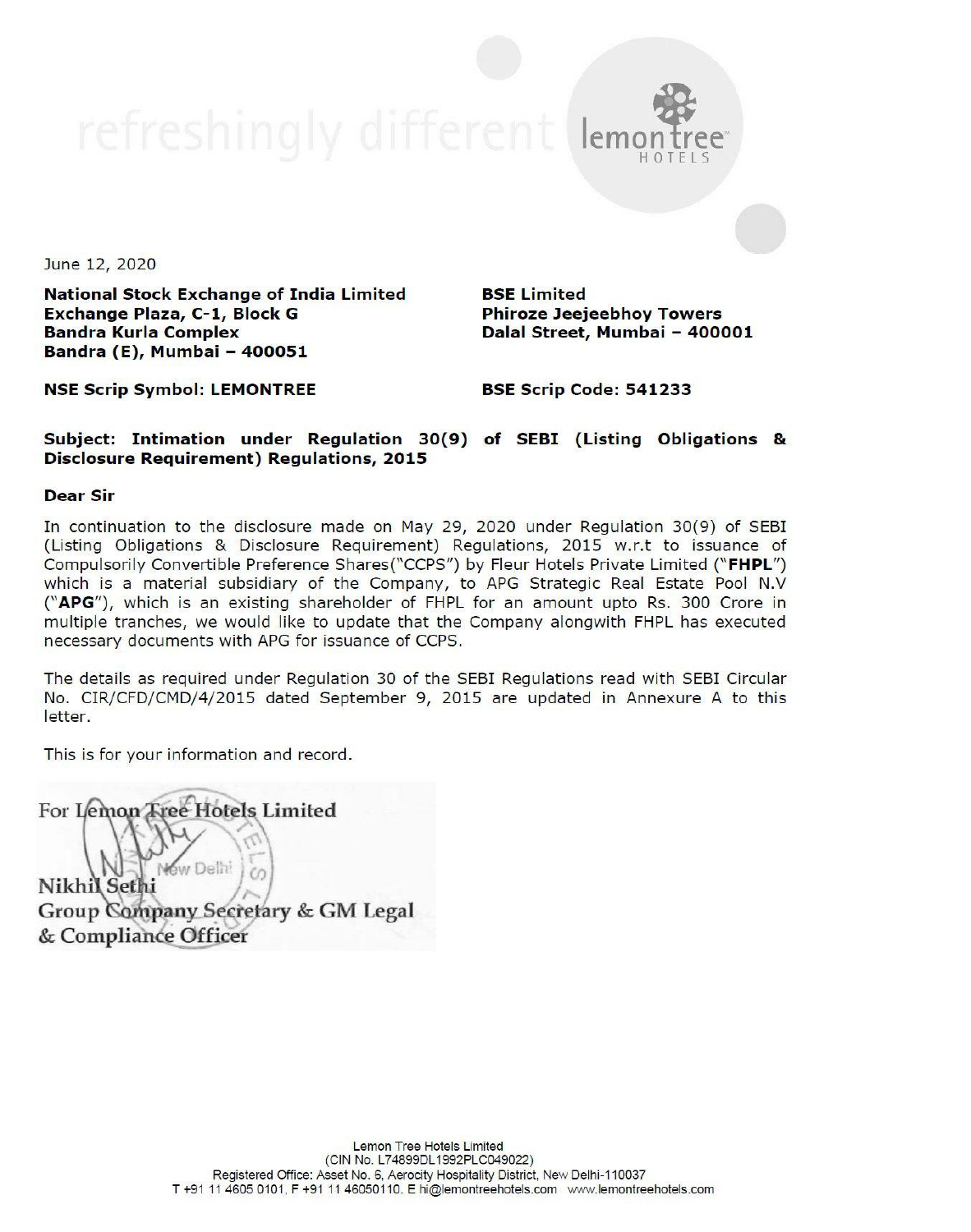## refreshingly different lemon

June 12, 2020

National Stock Exchange of India Limited BSE Limited Exchange Plaza, C-1, Block G Phiroze Jeejeebhoy Towers Bandra Kurla Complex **Dalal Street, Mumbai - 400001** Bandra (E), Mumbai — 400051

NSE Scrip Symbol: LEMONTREE BSE Scrip Code: 541233

Subject: Intimation under Regulation 30(9) of SEBI (Listing Obligations & Disclosure Requirement) Regulations, 2015

## Dear Sir

Nikhil Sethi Group Company Secretary & GM Legal & Compliance Officer

In continuation to the disclosure made on May 29, 2020 under Regulation 30(9) of SEBI (Listing Obligations & Disclosure Requirement) Regulations, 2015 w.r.t to issuance of Compulsorily Convertible Preference Shares("CCPS") by Fleur Hotels Private Limited ("FHPL") which is a material subsidiary of the Company, to APG Strategic Real Estate Pool N.V ("APG"), which is an existing shareholder of FHPL for an amount upto Rs. 300 Crore in multiple tranches, we would like to update that the Company alongwith FHPL has executed necessary documents with APG for issuance of CCPS.

The details as required under Regulation 30 of the SEBI Regulations read with SEBI Circular No. CIR/CFD/CMD/4/2015 dated September 9, 2015 are updated in Annexure A to this letter.

This is for your information and record.

 $\langle$ For Lemon Tree Hotels Limited

Lemon Tree Hotels Limited (CIN No. L74899DL1992PLC049022) Registered Office: Asset No. 6, Aerocity Hospitality District, New Delhi-110037 T +91 11 4605 0101, F +91 11 46050110. E hi@lemontreehotels.com www.lemontreehotels.com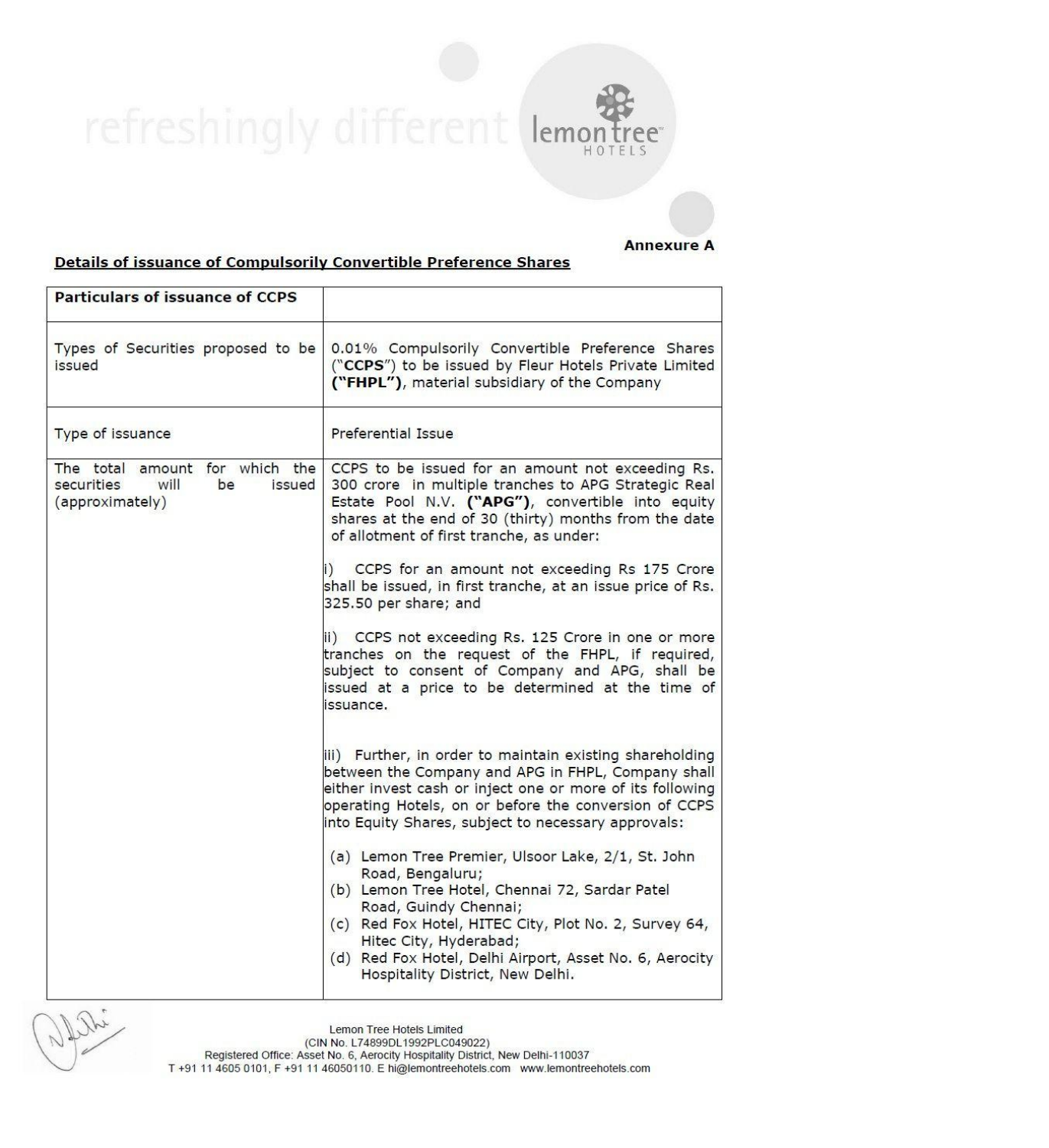refreshingly dif  $\begin{tabular}{c|c} \hline \textbf{PET} & \textbf{PST} \\ \hline \textbf{Details of issue} \\ \hline \textbf{Particulars of issue} \\ \hline \end{tabular} \vspace{-.5cm} \begin{tabular}{c} \hline \textbf{DET} \\ \hline \textbf{DET} \\ \hline \end{tabular} \vspace{-.5cm} \begin{tabular}{c} \hline \textbf{DET} \\ \hline \end{tabular} \vspace{-.5cm} \begin{tabular}{c} \hline \textbf{DET} \\ \hline \end{tabular} \vspace{-.5cm} \hline \end{tabular} \vspace{-.5cm} \begin{tabular}{c} \h$ 



## Details of issuance of Compulsorily Convertible Preference Shares

Particulars of issuance of CCPS Types of Securities proposed to be issued 0.01% Compulsorily Convertible Preference Shares ("CCPS") to be issued by Fleur Hotels Private Limited Pefreshingly diferentially<br>
Details of issuance of Compulsorily Convert<br>
Particulars of issuance of CCPS<br>
Types of Securities proposed to be<br>
("CCPS<br>
("FHPL ("FHPL"), material subsidiary of the Company Details of issuance of Compulsorily Convert<br>
Particulars of issuance of COPS<br>
Types of Securities proposed to be<br>
Types of Securities proposed to be<br>
("CCPS<br>
Type of issuance<br>
Preferent<br>
Preferent<br>
Preferent<br>
Preferent<br>
Pr Type of issuance **Preferential Issue** The total amount for which the securities will be issued (approximately) CCPS to be issued for an amount not exceeding Rs. 300 crore in multiple tranches to APG Strategic Real Estate Pool N.V. ("APG"), convertible into equity shares at the end of 30 (thirty) months from the date of allotment of first tranche, as under: CCPS for an amount not exceeding Rs 175 Crore shall be issued, in first tranche, at an issue price of Rs. [325.50 per share; and ii) CCPS not exceeding Rs. 125 Crore in one or more tranches on the request of the FHPL, if required, subject to consent of Company and APG, shall be issued at a price to be determined at the time of issuance. ii) Further, in order to maintain existing shareholding between the Company and APG in FHPL, Company shall either invest cash or inject one or more of its following operating Hotels, on or before the conversion of CCPS linto Equity Shares, subject to necessary approvals: (a) Lemon Tree Premier, Ulsoor Lake, 2/1, St. John Road, Bengaluru; (b) Lemon Tree Hotel, Chennai 72, Sardar Patel Road, Guindy Chennai; (c) Red Fox Hotel, HITEC City, Plot No. 2, Survey 64, Hitec City, Hyderabad; (d) Red Fox Hotel, Delhi Airport, Asset No. 6, Aerocity Types of Securities proposed to be  $(^\circ$ CCPS") to be issued by Fieur Hospitality of the signal district,  $^\circ$ CPS") to be issued for an amount  $^\circ$ CFHPL"), material assued for an amount securities will be issued 300 crore

<u>A construction of the construction of the construction of the construction of the construction of the construction of the construction of the construction of the construction of the construction of the construction of the</u>

Annexure A

J